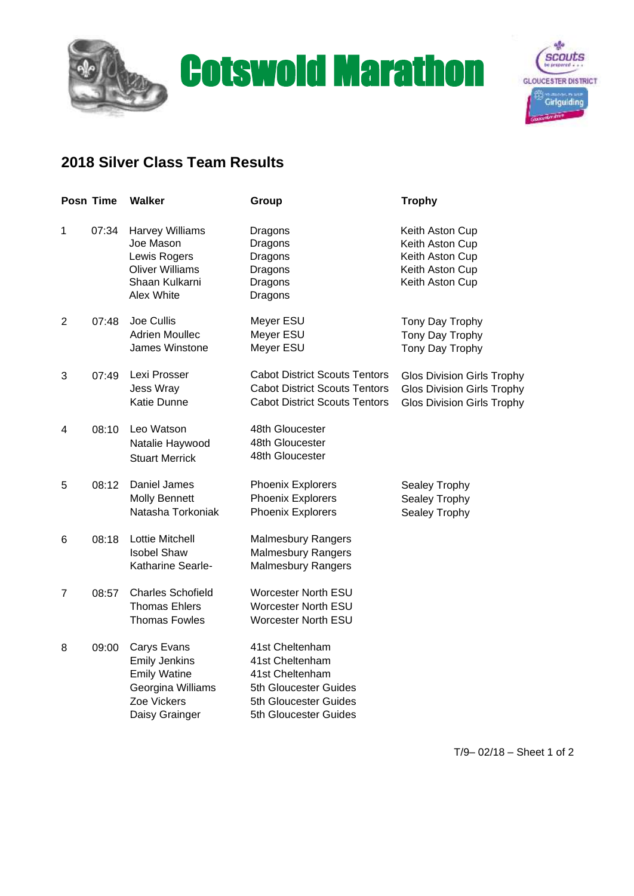



## **2018 Silver Class Team Results**

| Posn Time      |       | <b>Walker</b>                                                                                                    | Group                                                                                                                            | <b>Trophy</b>                                                                                               |
|----------------|-------|------------------------------------------------------------------------------------------------------------------|----------------------------------------------------------------------------------------------------------------------------------|-------------------------------------------------------------------------------------------------------------|
| $\mathbf 1$    | 07:34 | <b>Harvey Williams</b><br>Joe Mason<br>Lewis Rogers<br><b>Oliver Williams</b><br>Shaan Kulkarni<br>Alex White    | Dragons<br>Dragons<br>Dragons<br>Dragons<br>Dragons<br>Dragons                                                                   | Keith Aston Cup<br>Keith Aston Cup<br>Keith Aston Cup<br>Keith Aston Cup<br>Keith Aston Cup                 |
| $\overline{2}$ | 07:48 | Joe Cullis<br><b>Adrien Moullec</b><br>James Winstone                                                            | Meyer ESU<br>Meyer ESU<br>Meyer ESU                                                                                              | Tony Day Trophy<br>Tony Day Trophy<br>Tony Day Trophy                                                       |
| 3              | 07:49 | Lexi Prosser<br><b>Jess Wray</b><br>Katie Dunne                                                                  | <b>Cabot District Scouts Tentors</b><br><b>Cabot District Scouts Tentors</b><br><b>Cabot District Scouts Tentors</b>             | <b>Glos Division Girls Trophy</b><br><b>Glos Division Girls Trophy</b><br><b>Glos Division Girls Trophy</b> |
| 4              | 08:10 | Leo Watson<br>Natalie Haywood<br><b>Stuart Merrick</b>                                                           | 48th Gloucester<br>48th Gloucester<br>48th Gloucester                                                                            |                                                                                                             |
| 5              | 08:12 | Daniel James<br><b>Molly Bennett</b><br>Natasha Torkoniak                                                        | <b>Phoenix Explorers</b><br><b>Phoenix Explorers</b><br><b>Phoenix Explorers</b>                                                 | Sealey Trophy<br>Sealey Trophy<br>Sealey Trophy                                                             |
| 6              | 08:18 | Lottie Mitchell<br><b>Isobel Shaw</b><br>Katharine Searle-                                                       | <b>Malmesbury Rangers</b><br><b>Malmesbury Rangers</b><br><b>Malmesbury Rangers</b>                                              |                                                                                                             |
| $\overline{7}$ | 08:57 | <b>Charles Schofield</b><br><b>Thomas Ehlers</b><br><b>Thomas Fowles</b>                                         | <b>Worcester North ESU</b><br>Worcester North ESU<br><b>Worcester North ESU</b>                                                  |                                                                                                             |
| 8              | 09:00 | Carys Evans<br><b>Emily Jenkins</b><br><b>Emily Watine</b><br>Georgina Williams<br>Zoe Vickers<br>Daisy Grainger | 41st Cheltenham<br>41st Cheltenham<br>41st Cheltenham<br>5th Gloucester Guides<br>5th Gloucester Guides<br>5th Gloucester Guides |                                                                                                             |

T/9– 02/18 – Sheet 1 of 2